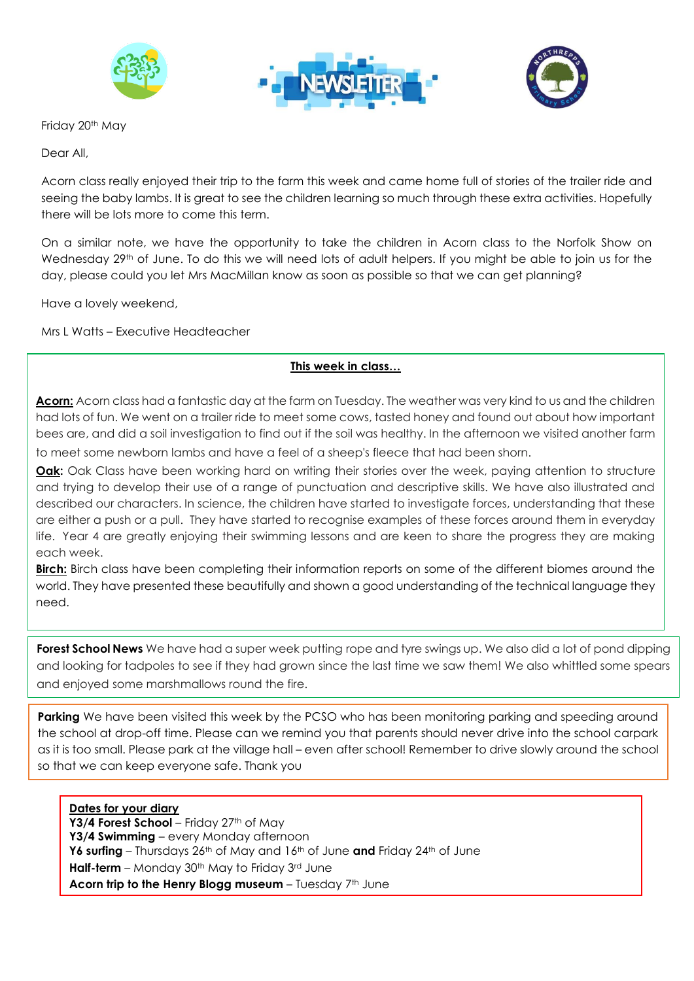

Friday 20<sup>th</sup> May

Dear All,



Acorn class really enjoyed their trip to the farm this week and came home full of stories of the trailer ride and seeing the baby lambs. It is great to see the children learning so much through these extra activities. Hopefully there will be lots more to come this term.

On a similar note, we have the opportunity to take the children in Acorn class to the Norfolk Show on Wednesday 29<sup>th</sup> of June. To do this we will need lots of adult helpers. If you might be able to join us for the day, please could you let Mrs MacMillan know as soon as possible so that we can get planning?

Have a lovely weekend,

Mrs L Watts – Executive Headteacher

## **This week in class…**

**Acorn:** Acorn class had a fantastic day at the farm on Tuesday. The weather was very kind to us and the children had lots of fun. We went on a trailer ride to meet some cows, tasted honey and found out about how important bees are, and did a soil investigation to find out if the soil was healthy. In the afternoon we visited another farm to meet some newborn lambs and have a feel of a sheep's fleece that had been shorn.

**Oak:** Oak Class have been working hard on writing their stories over the week, paying attention to structure and trying to develop their use of a range of punctuation and descriptive skills. We have also illustrated and described our characters. In science, the children have started to investigate forces, understanding that these

are either a push or a pull. They have started to recognise examples of these forces around them in everyday life. Year 4 are greatly enjoying their swimming lessons and are keen to share the progress they are making each week.

**Birch:** Birch class have been completing their information reports on some of the different biomes around the world. They have presented these beautifully and shown a good understanding of the technical language they need.

**Forest School News** We have had a super week putting rope and tyre swings up. We also did a lot of pond dipping and looking for tadpoles to see if they had grown since the last time we saw them! We also whittled some spears and enjoyed some marshmallows round the fire.

**Parking** We have been visited this week by the PCSO who has been monitoring parking and speeding around the school at drop-off time. Please can we remind you that parents should never drive into the school carpark as it is too small. Please park at the village hall – even after school! Remember to drive slowly around the school so that we can keep everyone safe. Thank you

**Dates for your diary** Y3/4 Forest School – Friday 27<sup>th</sup> of May **Y3/4 Swimming** – every Monday afternoon Y6 **surfing** – Thursdays 26<sup>th</sup> of May and 16<sup>th</sup> of June and Friday 24<sup>th</sup> of June **Half-term** – Monday 30<sup>th</sup> May to Friday 3<sup>rd</sup> June **Acorn trip to the Henry Blogg museum** – Tuesday 7th June